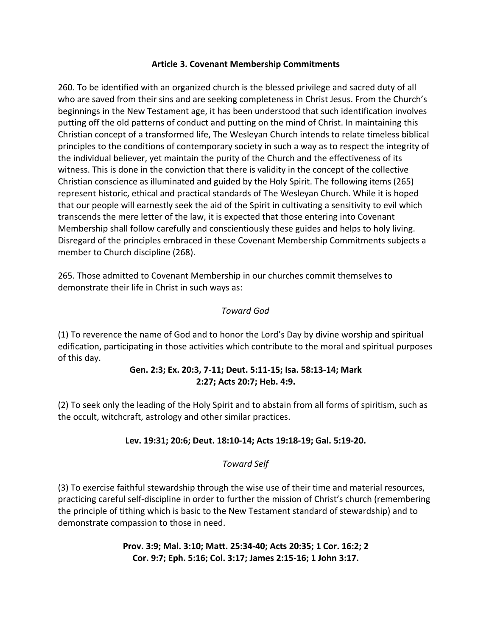#### **Article 3. Covenant Membership Commitments**

260. To be identified with an organized church is the blessed privilege and sacred duty of all who are saved from their sins and are seeking completeness in Christ Jesus. From the Church's beginnings in the New Testament age, it has been understood that such identification involves putting off the old patterns of conduct and putting on the mind of Christ. In maintaining this Christian concept of a transformed life, The Wesleyan Church intends to relate timeless biblical principles to the conditions of contemporary society in such a way as to respect the integrity of the individual believer, yet maintain the purity of the Church and the effectiveness of its witness. This is done in the conviction that there is validity in the concept of the collective Christian conscience as illuminated and guided by the Holy Spirit. The following items (265) represent historic, ethical and practical standards of The Wesleyan Church. While it is hoped that our people will earnestly seek the aid of the Spirit in cultivating a sensitivity to evil which transcends the mere letter of the law, it is expected that those entering into Covenant Membership shall follow carefully and conscientiously these guides and helps to holy living. Disregard of the principles embraced in these Covenant Membership Commitments subjects a member to Church discipline (268).

265. Those admitted to Covenant Membership in our churches commit themselves to demonstrate their life in Christ in such ways as:

## *Toward God*

(1) To reverence the name of God and to honor the Lord's Day by divine worship and spiritual edification, participating in those activities which contribute to the moral and spiritual purposes of this day.

## **Gen. 2:3; Ex. 20:3, 7-11; Deut. 5:11-15; Isa. 58:13-14; Mark 2:27; Acts 20:7; Heb. 4:9.**

(2) To seek only the leading of the Holy Spirit and to abstain from all forms of spiritism, such as the occult, witchcraft, astrology and other similar practices.

## **Lev. 19:31; 20:6; Deut. 18:10-14; Acts 19:18-19; Gal. 5:19-20.**

## *Toward Self*

(3) To exercise faithful stewardship through the wise use of their time and material resources, practicing careful self-discipline in order to further the mission of Christ's church (remembering the principle of tithing which is basic to the New Testament standard of stewardship) and to demonstrate compassion to those in need.

> **Prov. 3:9; Mal. 3:10; Matt. 25:34-40; Acts 20:35; 1 Cor. 16:2; 2 Cor. 9:7; Eph. 5:16; Col. 3:17; James 2:15-16; 1 John 3:17.**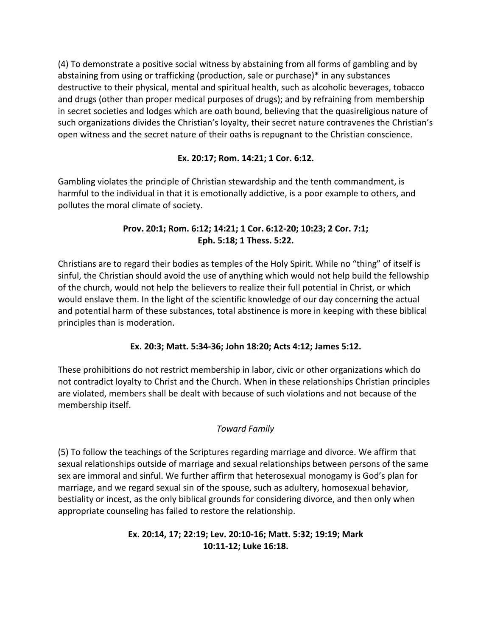(4) To demonstrate a positive social witness by abstaining from all forms of gambling and by abstaining from using or trafficking (production, sale or purchase)\* in any substances destructive to their physical, mental and spiritual health, such as alcoholic beverages, tobacco and drugs (other than proper medical purposes of drugs); and by refraining from membership in secret societies and lodges which are oath bound, believing that the quasireligious nature of such organizations divides the Christian's loyalty, their secret nature contravenes the Christian's open witness and the secret nature of their oaths is repugnant to the Christian conscience.

# **Ex. 20:17; Rom. 14:21; 1 Cor. 6:12.**

Gambling violates the principle of Christian stewardship and the tenth commandment, is harmful to the individual in that it is emotionally addictive, is a poor example to others, and pollutes the moral climate of society.

# **Prov. 20:1; Rom. 6:12; 14:21; 1 Cor. 6:12-20; 10:23; 2 Cor. 7:1; Eph. 5:18; 1 Thess. 5:22.**

Christians are to regard their bodies as temples of the Holy Spirit. While no "thing" of itself is sinful, the Christian should avoid the use of anything which would not help build the fellowship of the church, would not help the believers to realize their full potential in Christ, or which would enslave them. In the light of the scientific knowledge of our day concerning the actual and potential harm of these substances, total abstinence is more in keeping with these biblical principles than is moderation.

# **Ex. 20:3; Matt. 5:34-36; John 18:20; Acts 4:12; James 5:12.**

These prohibitions do not restrict membership in labor, civic or other organizations which do not contradict loyalty to Christ and the Church. When in these relationships Christian principles are violated, members shall be dealt with because of such violations and not because of the membership itself.

# *Toward Family*

(5) To follow the teachings of the Scriptures regarding marriage and divorce. We affirm that sexual relationships outside of marriage and sexual relationships between persons of the same sex are immoral and sinful. We further affirm that heterosexual monogamy is God's plan for marriage, and we regard sexual sin of the spouse, such as adultery, homosexual behavior, bestiality or incest, as the only biblical grounds for considering divorce, and then only when appropriate counseling has failed to restore the relationship.

## **Ex. 20:14, 17; 22:19; Lev. 20:10-16; Matt. 5:32; 19:19; Mark 10:11-12; Luke 16:18.**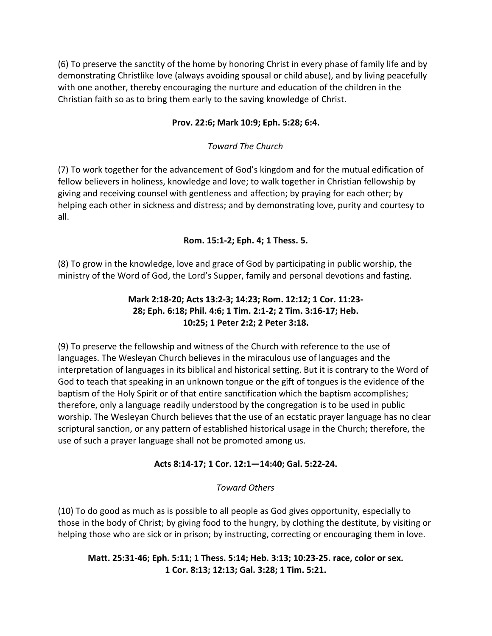(6) To preserve the sanctity of the home by honoring Christ in every phase of family life and by demonstrating Christlike love (always avoiding spousal or child abuse), and by living peacefully with one another, thereby encouraging the nurture and education of the children in the Christian faith so as to bring them early to the saving knowledge of Christ.

## **Prov. 22:6; Mark 10:9; Eph. 5:28; 6:4.**

#### *Toward The Church*

(7) To work together for the advancement of God's kingdom and for the mutual edification of fellow believers in holiness, knowledge and love; to walk together in Christian fellowship by giving and receiving counsel with gentleness and affection; by praying for each other; by helping each other in sickness and distress; and by demonstrating love, purity and courtesy to all.

#### **Rom. 15:1-2; Eph. 4; 1 Thess. 5.**

(8) To grow in the knowledge, love and grace of God by participating in public worship, the ministry of the Word of God, the Lord's Supper, family and personal devotions and fasting.

## **Mark 2:18-20; Acts 13:2-3; 14:23; Rom. 12:12; 1 Cor. 11:23- 28; Eph. 6:18; Phil. 4:6; 1 Tim. 2:1-2; 2 Tim. 3:16-17; Heb. 10:25; 1 Peter 2:2; 2 Peter 3:18.**

(9) To preserve the fellowship and witness of the Church with reference to the use of languages. The Wesleyan Church believes in the miraculous use of languages and the interpretation of languages in its biblical and historical setting. But it is contrary to the Word of God to teach that speaking in an unknown tongue or the gift of tongues is the evidence of the baptism of the Holy Spirit or of that entire sanctification which the baptism accomplishes; therefore, only a language readily understood by the congregation is to be used in public worship. The Wesleyan Church believes that the use of an ecstatic prayer language has no clear scriptural sanction, or any pattern of established historical usage in the Church; therefore, the use of such a prayer language shall not be promoted among us.

## **Acts 8:14-17; 1 Cor. 12:1—14:40; Gal. 5:22-24.**

#### *Toward Others*

(10) To do good as much as is possible to all people as God gives opportunity, especially to those in the body of Christ; by giving food to the hungry, by clothing the destitute, by visiting or helping those who are sick or in prison; by instructing, correcting or encouraging them in love.

#### **Matt. 25:31-46; Eph. 5:11; 1 Thess. 5:14; Heb. 3:13; 10:23-25. race, color or sex. 1 Cor. 8:13; 12:13; Gal. 3:28; 1 Tim. 5:21.**